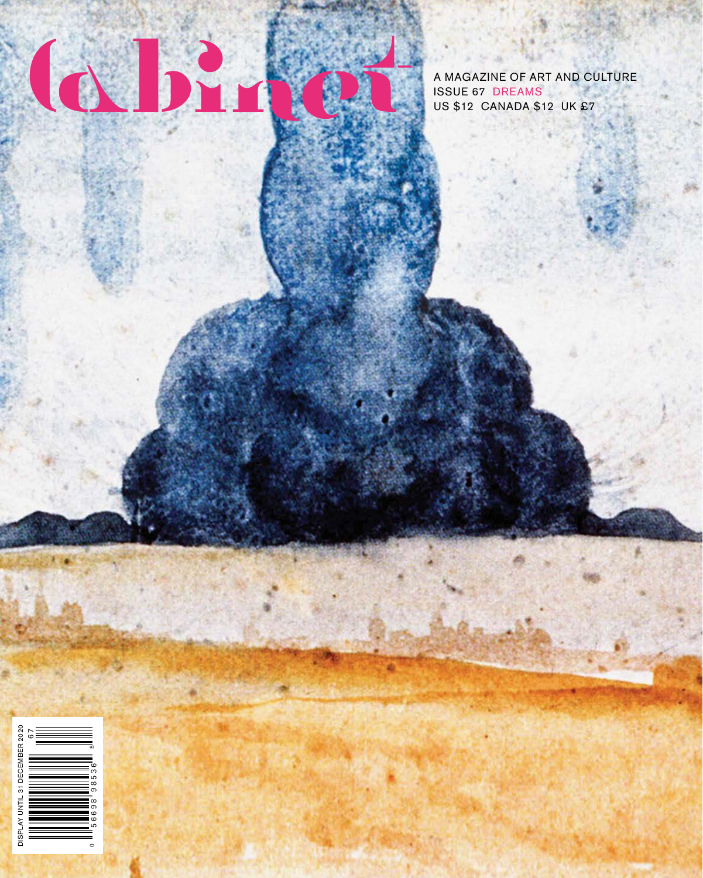

A MAGAZINE OF ART AND CULTURE

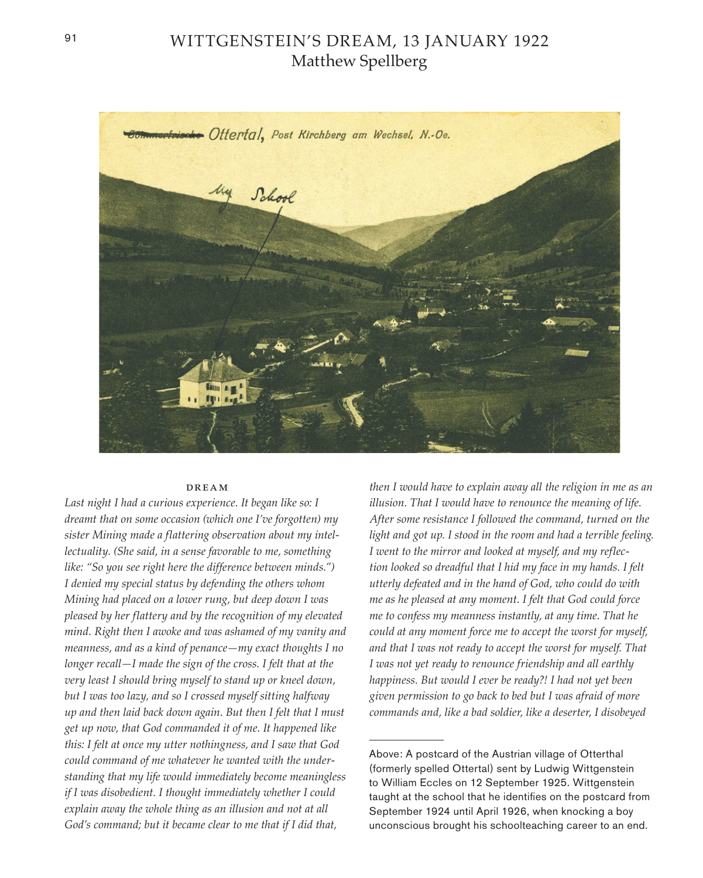## WITTGENSTEIN'S DREAM, 13 JANUARY 1922 Matthew Spellberg



## dream

*Last night I had a curious experience. It began like so: I dreamt that on some occasion (which one I've forgotten) my sister Mining made a flattering observation about my intellectuality. (She said, in a sense favorable to me, something like: "So you see right here the difference between minds.") I denied my special status by defending the others whom Mining had placed on a lower rung, but deep down I was pleased by her flattery and by the recognition of my elevated mind. Right then I awoke and was ashamed of my vanity and meanness, and as a kind of penance—my exact thoughts I no longer recall—I made the sign of the cross. I felt that at the very least I should bring myself to stand up or kneel down, but I was too lazy, and so I crossed myself sitting halfway up and then laid back down again. But then I felt that I must get up now, that God commanded it of me. It happened like this: I felt at once my utter nothingness, and I saw that God could command of me whatever he wanted with the understanding that my life would immediately become meaningless if I was disobedient. I thought immediately whether I could explain away the whole thing as an illusion and not at all God's command; but it became clear to me that if I did that,* 

*then I would have to explain away all the religion in me as an illusion. That I would have to renounce the meaning of life. After some resistance I followed the command, turned on the light and got up. I stood in the room and had a terrible feeling. I went to the mirror and looked at myself, and my reflection looked so dreadful that I hid my face in my hands. I felt utterly defeated and in the hand of God, who could do with me as he pleased at any moment. I felt that God could force me to confess my meanness instantly, at any time. That he could at any moment force me to accept the worst for myself, and that I was not ready to accept the worst for myself. That I was not yet ready to renounce friendship and all earthly happiness. But would I ever be ready?! I had not yet been given permission to go back to bed but I was afraid of more commands and, like a bad soldier, like a deserter, I disobeyed* 

Above: A postcard of the Austrian village of Otterthal (formerly spelled Ottertal) sent by Ludwig Wittgenstein to William Eccles on 12 September 1925. Wittgenstein taught at the school that he identifies on the postcard from September 1924 until April 1926, when knocking a boy unconscious brought his schoolteaching career to an end.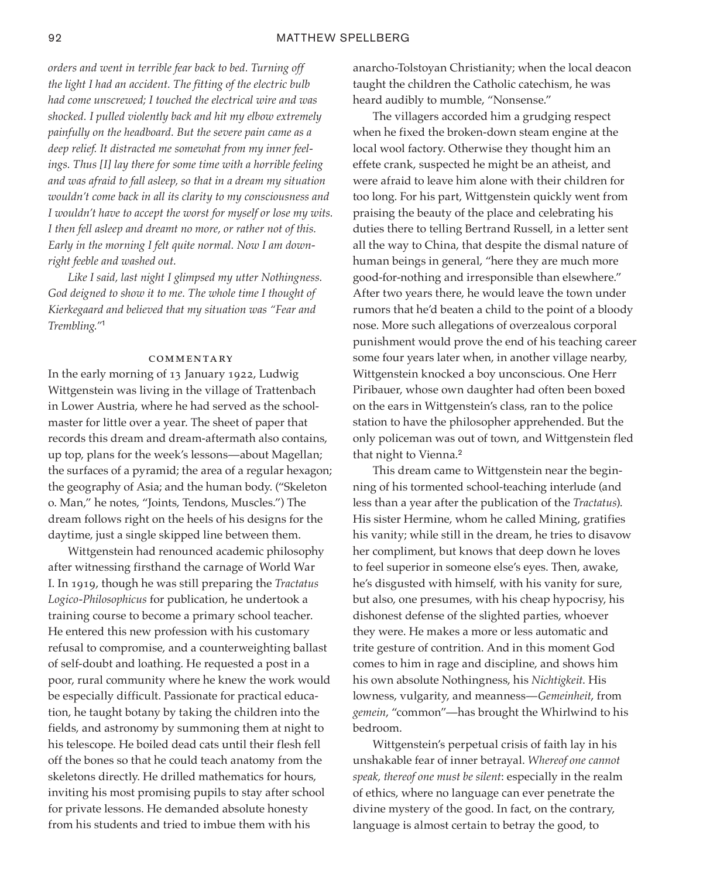*orders and went in terrible fear back to bed. Turning off the light I had an accident. The fitting of the electric bulb had come unscrewed; I touched the electrical wire and was shocked. I pulled violently back and hit my elbow extremely painfully on the headboard. But the severe pain came as a deep relief. It distracted me somewhat from my inner feelings. Thus [I] lay there for some time with a horrible feeling and was afraid to fall asleep, so that in a dream my situation wouldn't come back in all its clarity to my consciousness and I wouldn't have to accept the worst for myself or lose my wits. I then fell asleep and dreamt no more, or rather not of this. Early in the morning I felt quite normal. Now I am downright feeble and washed out.*

*Like I said, last night I glimpsed my utter Nothingness. God deigned to show it to me. The whole time I thought of Kierkegaard and believed that my situation was "Fear and Trembling."*<sup>1</sup>

## **COMMENTARY**

In the early morning of 13 January 1922, Ludwig Wittgenstein was living in the village of Trattenbach in Lower Austria, where he had served as the schoolmaster for little over a year. The sheet of paper that records this dream and dream-aftermath also contains, up top, plans for the week's lessons—about Magellan; the surfaces of a pyramid; the area of a regular hexagon; the geography of Asia; and the human body. ("Skeleton o. Man," he notes, "Joints, Tendons, Muscles.") The dream follows right on the heels of his designs for the daytime, just a single skipped line between them.

Wittgenstein had renounced academic philosophy after witnessing firsthand the carnage of World War I. In 1919, though he was still preparing the *Tractatus Logico-Philosophicus* for publication, he undertook a training course to become a primary school teacher. He entered this new profession with his customary refusal to compromise, and a counterweighting ballast of self-doubt and loathing. He requested a post in a poor, rural community where he knew the work would be especially difficult. Passionate for practical education, he taught botany by taking the children into the fields, and astronomy by summoning them at night to his telescope. He boiled dead cats until their flesh fell off the bones so that he could teach anatomy from the skeletons directly. He drilled mathematics for hours, inviting his most promising pupils to stay after school for private lessons. He demanded absolute honesty from his students and tried to imbue them with his

anarcho-Tolstoyan Christianity; when the local deacon taught the children the Catholic catechism, he was heard audibly to mumble, "Nonsense."

The villagers accorded him a grudging respect when he fixed the broken-down steam engine at the local wool factory. Otherwise they thought him an effete crank, suspected he might be an atheist, and were afraid to leave him alone with their children for too long. For his part, Wittgenstein quickly went from praising the beauty of the place and celebrating his duties there to telling Bertrand Russell, in a letter sent all the way to China, that despite the dismal nature of human beings in general, "here they are much more good-for-nothing and irresponsible than elsewhere." After two years there, he would leave the town under rumors that he'd beaten a child to the point of a bloody nose. More such allegations of overzealous corporal punishment would prove the end of his teaching career some four years later when, in another village nearby, Wittgenstein knocked a boy unconscious. One Herr Piribauer, whose own daughter had often been boxed on the ears in Wittgenstein's class, ran to the police station to have the philosopher apprehended. But the only policeman was out of town, and Wittgenstein fled that night to Vienna.<sup>2</sup>

This dream came to Wittgenstein near the beginning of his tormented school-teaching interlude (and less than a year after the publication of the *Tractatus*). His sister Hermine, whom he called Mining, gratifies his vanity; while still in the dream, he tries to disavow her compliment, but knows that deep down he loves to feel superior in someone else's eyes. Then, awake, he's disgusted with himself, with his vanity for sure, but also, one presumes, with his cheap hypocrisy, his dishonest defense of the slighted parties, whoever they were. He makes a more or less automatic and trite gesture of contrition. And in this moment God comes to him in rage and discipline, and shows him his own absolute Nothingness, his *Nichtigkeit*. His lowness, vulgarity, and meanness—*Gemeinheit*, from *gemein*, "common"—has brought the Whirlwind to his bedroom.

Wittgenstein's perpetual crisis of faith lay in his unshakable fear of inner betrayal. *Whereof one cannot speak, thereof one must be silent*: especially in the realm of ethics, where no language can ever penetrate the divine mystery of the good. In fact, on the contrary, language is almost certain to betray the good, to